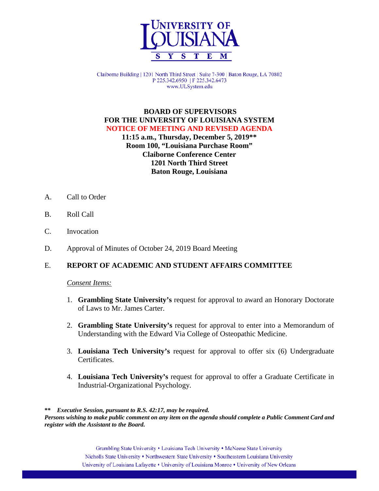

Claiborne Building | 1201 North Third Street | Suite 7-300 | Baton Rouge, LA 70802 P 225.342.6950 | F 225.342.6473 www.ULSystem.edu

# **BOARD OF SUPERVISORS FOR THE UNIVERSITY OF LOUISIANA SYSTEM NOTICE OF MEETING AND REVISED AGENDA**

**11:15 a.m., Thursday, December 5, 2019\*\* Room 100, "Louisiana Purchase Room" Claiborne Conference Center 1201 North Third Street Baton Rouge, Louisiana** 

- A. Call to Order
- B. Roll Call
- C. Invocation
- D. Approval of Minutes of October 24, 2019 Board Meeting

### E. **REPORT OF ACADEMIC AND STUDENT AFFAIRS COMMITTEE**

#### *Consent Items:*

- 1. **Grambling State University's** request for approval to award an Honorary Doctorate of Laws to Mr. James Carter.
- 2. **Grambling State University's** request for approval to enter into a Memorandum of Understanding with the Edward Via College of Osteopathic Medicine.
- 3. **Louisiana Tech University's** request for approval to offer six (6) Undergraduate Certificates.
- 4. **Louisiana Tech University's** request for approval to offer a Graduate Certificate in Industrial-Organizational Psychology.

**\*\*** *Executive Session, pursuant to R.S. 42:17, may be required. Persons wishing to make public comment on any item on the agenda should complete a Public Comment Card and register with the Assistant to the Board.*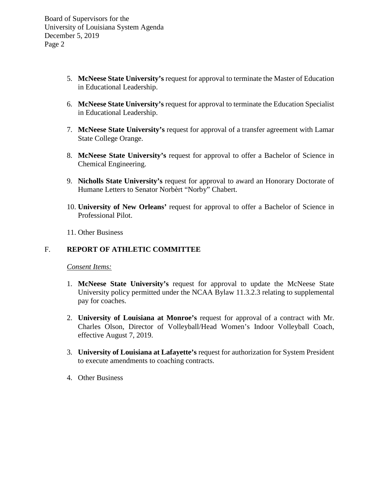Board of Supervisors for the University of Louisiana System Agenda December 5, 2019 Page 2

- 5. **McNeese State University's** request for approval to terminate the Master of Education in Educational Leadership.
- 6. **McNeese State University's** request for approval to terminate the Education Specialist in Educational Leadership.
- 7. **McNeese State University's** request for approval of a transfer agreement with Lamar State College Orange.
- 8. **McNeese State University's** request for approval to offer a Bachelor of Science in Chemical Engineering.
- 9. **Nicholls State University's** request for approval to award an Honorary Doctorate of Humane Letters to Senator Norbèrt "Norby" Chabert.
- 10. **University of New Orleans'** request for approval to offer a Bachelor of Science in Professional Pilot.
- 11. Other Business

### F. **REPORT OF ATHLETIC COMMITTEE**

#### *Consent Items:*

- 1. **McNeese State University's** request for approval to update the McNeese State University policy permitted under the NCAA Bylaw 11.3.2.3 relating to supplemental pay for coaches.
- 2. **University of Louisiana at Monroe's** request for approval of a contract with Mr. Charles Olson, Director of Volleyball/Head Women's Indoor Volleyball Coach, effective August 7, 2019.
- 3. **University of Louisiana at Lafayette's** request for authorization for System President to execute amendments to coaching contracts.
- 4. Other Business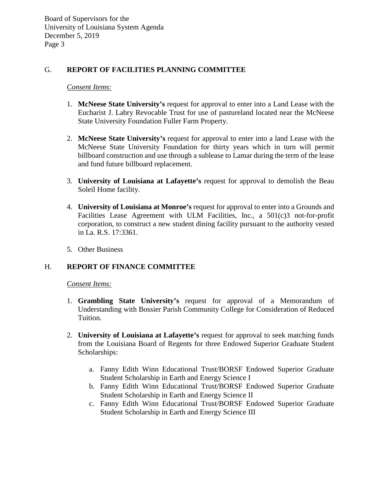## G. **REPORT OF FACILITIES PLANNING COMMITTEE**

#### *Consent Items:*

- 1. **McNeese State University's** request for approval to enter into a Land Lease with the Eucharist J. Labry Revocable Trust for use of pastureland located near the McNeese State University Foundation Fuller Farm Property.
- 2. **McNeese State University's** request for approval to enter into a land Lease with the McNeese State University Foundation for thirty years which in turn will permit billboard construction and use through a sublease to Lamar during the term of the lease and fund future billboard replacement.
- 3. **University of Louisiana at Lafayette's** request for approval to demolish the Beau Soleil Home facility.
- 4. **University of Louisiana at Monroe's** request for approval to enter into a Grounds and Facilities Lease Agreement with ULM Facilities, Inc., a 501(c)3 not-for-profit corporation, to construct a new student dining facility pursuant to the authority vested in La. R.S. 17:3361.
- 5. Other Business

## H. **REPORT OF FINANCE COMMITTEE**

### *Consent Items:*

- 1. **Grambling State University's** request for approval of a Memorandum of Understanding with Bossier Parish Community College for Consideration of Reduced Tuition.
- 2. **University of Louisiana at Lafayette's** request for approval to seek matching funds from the Louisiana Board of Regents for three Endowed Superior Graduate Student Scholarships:
	- a. Fanny Edith Winn Educational Trust/BORSF Endowed Superior Graduate Student Scholarship in Earth and Energy Science I
	- b. Fanny Edith Winn Educational Trust/BORSF Endowed Superior Graduate Student Scholarship in Earth and Energy Science II
	- c. Fanny Edith Winn Educational Trust/BORSF Endowed Superior Graduate Student Scholarship in Earth and Energy Science III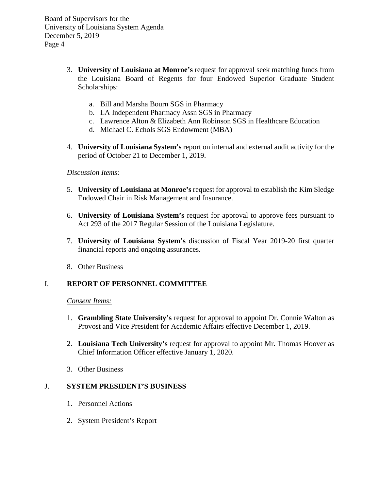Board of Supervisors for the University of Louisiana System Agenda December 5, 2019 Page 4

- 3. **University of Louisiana at Monroe's** request for approval seek matching funds from the Louisiana Board of Regents for four Endowed Superior Graduate Student Scholarships:
	- a. Bill and Marsha Bourn SGS in Pharmacy
	- b. LA Independent Pharmacy Assn SGS in Pharmacy
	- c. Lawrence Alton & Elizabeth Ann Robinson SGS in Healthcare Education
	- d. Michael C. Echols SGS Endowment (MBA)
- 4. **University of Louisiana System's** report on internal and external audit activity for the period of October 21 to December 1, 2019.

## *Discussion Items:*

- 5. **University of Louisiana at Monroe's** request for approval to establish the Kim Sledge Endowed Chair in Risk Management and Insurance.
- 6. **University of Louisiana System's** request for approval to approve fees pursuant to Act 293 of the 2017 Regular Session of the Louisiana Legislature.
- 7. **University of Louisiana System's** discussion of Fiscal Year 2019-20 first quarter financial reports and ongoing assurances.
- 8. Other Business

## I. **REPORT OF PERSONNEL COMMITTEE**

*Consent Items:*

- 1. **Grambling State University's** request for approval to appoint Dr. Connie Walton as Provost and Vice President for Academic Affairs effective December 1, 2019.
- 2. **Louisiana Tech University's** request for approval to appoint Mr. Thomas Hoover as Chief Information Officer effective January 1, 2020.
- 3. Other Business

### J. **SYSTEM PRESIDENT'S BUSINESS**

- 1. Personnel Actions
- 2. System President's Report